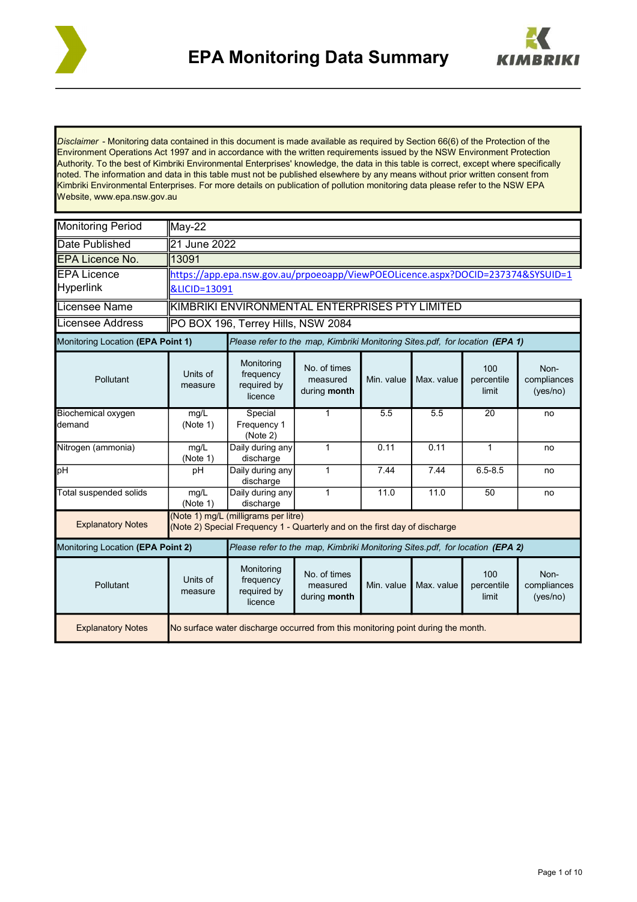



*Disclaimer* - Monitoring data contained in this document is made available as required by Section 66(6) of the Protection of the Environment Operations Act 1997 and in accordance with the written requirements issued by the NSW Environment Protection Authority. To the best of Kimbriki Environmental Enterprises' knowledge, the data in this table is correct, except where specifically noted. The information and data in this table must not be published elsewhere by any means without prior written consent from Kimbriki Environmental Enterprises. For more details on publication of pollution monitoring data please refer to the NSW EPA Website, www.epa.nsw.gov.au

| <b>Monitoring Period</b>             | May-22                                                                           |                                                                                                                    |                                                                              |            |            |                            |                                 |  |  |
|--------------------------------------|----------------------------------------------------------------------------------|--------------------------------------------------------------------------------------------------------------------|------------------------------------------------------------------------------|------------|------------|----------------------------|---------------------------------|--|--|
| Date Published                       | 21 June 2022                                                                     |                                                                                                                    |                                                                              |            |            |                            |                                 |  |  |
| <b>EPA Licence No.</b>               | $\sqrt{13091}$                                                                   |                                                                                                                    |                                                                              |            |            |                            |                                 |  |  |
| <b>EPA Licence</b>                   |                                                                                  | https://app.epa.nsw.gov.au/prpoeoapp/ViewPOEOLicence.aspx?DOCID=237374&SYSUID=1                                    |                                                                              |            |            |                            |                                 |  |  |
| <b>Hyperlink</b>                     |                                                                                  | &LICID=13091                                                                                                       |                                                                              |            |            |                            |                                 |  |  |
| Licensee Name                        |                                                                                  | KIMBRIKI ENVIRONMENTAL ENTERPRISES PTY LIMITED                                                                     |                                                                              |            |            |                            |                                 |  |  |
| <b>Licensee Address</b>              |                                                                                  | PO BOX 196, Terrey Hills, NSW 2084                                                                                 |                                                                              |            |            |                            |                                 |  |  |
| Monitoring Location (EPA Point 1)    |                                                                                  | Please refer to the map, Kimbriki Monitoring Sites.pdf, for location (EPA 1)                                       |                                                                              |            |            |                            |                                 |  |  |
| Pollutant                            | Units of<br>measure                                                              | Monitoring<br>frequency<br>required by<br>licence                                                                  | No. of times<br>measured<br>during month                                     | Min. value | Max. value | 100<br>percentile<br>limit | Non-<br>compliances<br>(yes/no) |  |  |
| <b>Biochemical oxygen</b><br>ldemand | mg/L<br>(Note 1)                                                                 | Special<br>Frequency 1<br>(Note 2)                                                                                 | $\mathbf{1}$                                                                 | 5.5        | 5.5        | $\overline{20}$            | no                              |  |  |
| Nitrogen (ammonia)                   | mg/L<br>(Note 1)                                                                 | Daily during any<br>discharge                                                                                      | $\mathbf{1}$                                                                 | 0.11       | 0.11       | $\mathbf{1}$               | no                              |  |  |
| pH                                   | pH                                                                               | Daily during any<br>discharge                                                                                      | $\mathbf{1}$                                                                 | 7.44       | 7.44       | $6.5 - 8.5$                | no                              |  |  |
| Total suspended solids               | mq/L<br>(Note 1)                                                                 | Daily during any<br>discharge                                                                                      | $\mathbf{1}$                                                                 | 11.0       | 11.0       | 50                         | no                              |  |  |
| <b>Explanatory Notes</b>             |                                                                                  | (Note 1) mg/L (milligrams per litre)<br>(Note 2) Special Frequency 1 - Quarterly and on the first day of discharge |                                                                              |            |            |                            |                                 |  |  |
| Monitoring Location (EPA Point 2)    |                                                                                  |                                                                                                                    | Please refer to the map, Kimbriki Monitoring Sites.pdf, for location (EPA 2) |            |            |                            |                                 |  |  |
| Pollutant                            | Units of<br>measure                                                              | Monitoring<br>frequency<br>required by<br>licence                                                                  | No. of times<br>measured<br>during month                                     | Min. value | Max. value | 100<br>percentile<br>limit | Non-<br>compliances<br>(yes/no) |  |  |
| <b>Explanatory Notes</b>             | No surface water discharge occurred from this monitoring point during the month. |                                                                                                                    |                                                                              |            |            |                            |                                 |  |  |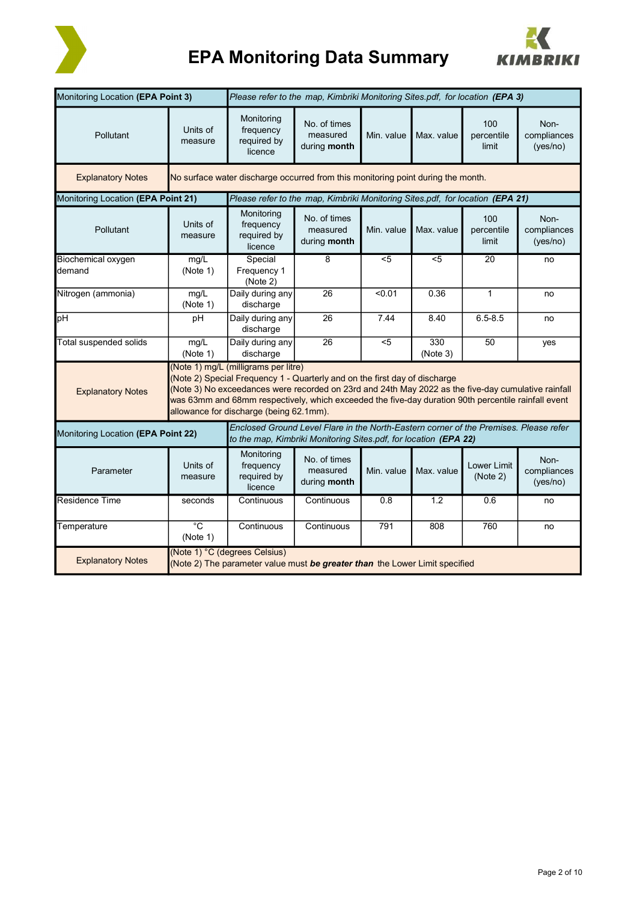

# **EPA Monitoring Data Summary**



| Monitoring Location (EPA Point 3)<br>Please refer to the map, Kimbriki Monitoring Sites.pdf, for location (EPA 3)                                                                                                                                                                                                                                                                                       |                          |                                                                                                              |                                                                                                                                                           |                |                 |                                |                                 |
|---------------------------------------------------------------------------------------------------------------------------------------------------------------------------------------------------------------------------------------------------------------------------------------------------------------------------------------------------------------------------------------------------------|--------------------------|--------------------------------------------------------------------------------------------------------------|-----------------------------------------------------------------------------------------------------------------------------------------------------------|----------------|-----------------|--------------------------------|---------------------------------|
| Pollutant                                                                                                                                                                                                                                                                                                                                                                                               | Units of<br>measure      | Monitoring<br>frequency<br>required by<br>licence                                                            | No. of times<br>measured<br>during month                                                                                                                  | Min. value     | Max. value      | 100<br>percentile<br>limit     | Non-<br>compliances<br>(yes/no) |
| <b>Explanatory Notes</b>                                                                                                                                                                                                                                                                                                                                                                                |                          | No surface water discharge occurred from this monitoring point during the month.                             |                                                                                                                                                           |                |                 |                                |                                 |
| Monitoring Location (EPA Point 21)                                                                                                                                                                                                                                                                                                                                                                      |                          |                                                                                                              | Please refer to the map, Kimbriki Monitoring Sites.pdf, for location (EPA 21)                                                                             |                |                 |                                |                                 |
| Pollutant                                                                                                                                                                                                                                                                                                                                                                                               | Units of<br>measure      | Monitoring<br>frequency<br>required by<br>licence                                                            | No. of times<br>measured<br>during month                                                                                                                  | Min. value     | Max. value      | 100<br>percentile<br>limit     | Non-<br>compliances<br>(yes/no) |
| <b>Biochemical oxygen</b><br>demand                                                                                                                                                                                                                                                                                                                                                                     | mg/L<br>(Note 1)         | Special<br>Frequency 1<br>(Note 2)                                                                           | 8                                                                                                                                                         | $\overline{5}$ | $5$             | $\overline{20}$                | no                              |
| Nitrogen (ammonia)                                                                                                                                                                                                                                                                                                                                                                                      | mg/L<br>(Note 1)         | Daily during any<br>discharge                                                                                | 26                                                                                                                                                        | < 0.01         | 0.36            | $\mathbf{1}$                   | no                              |
| pH                                                                                                                                                                                                                                                                                                                                                                                                      | pH                       | Daily during any<br>discharge                                                                                | 26                                                                                                                                                        | 7.44           | 8.40            | $6.5 - 8.5$                    | no                              |
| Total suspended solids                                                                                                                                                                                                                                                                                                                                                                                  | mg/L<br>(Note 1)         | Daily during any<br>discharge                                                                                | 26                                                                                                                                                        | $5$            | 330<br>(Note 3) | 50                             | yes                             |
| (Note 1) mg/L (milligrams per litre)<br>(Note 2) Special Frequency 1 - Quarterly and on the first day of discharge<br>(Note 3) No exceedances were recorded on 23rd and 24th May 2022 as the five-day cumulative rainfall<br><b>Explanatory Notes</b><br>was 63mm and 68mm respectively, which exceeded the five-day duration 90th percentile rainfall event<br>allowance for discharge (being 62.1mm). |                          |                                                                                                              |                                                                                                                                                           |                |                 |                                |                                 |
| Monitoring Location (EPA Point 22)                                                                                                                                                                                                                                                                                                                                                                      |                          |                                                                                                              | Enclosed Ground Level Flare in the North-Eastern corner of the Premises. Please refer<br>to the map, Kimbriki Monitoring Sites pdf, for location (EPA 22) |                |                 |                                |                                 |
| Parameter                                                                                                                                                                                                                                                                                                                                                                                               | Units of<br>measure      | Monitoring<br>frequency<br>required by<br>licence                                                            | No. of times<br>measured<br>during month                                                                                                                  | Min. value     | Max. value      | <b>Lower Limit</b><br>(Note 2) | Non-<br>compliances<br>(yes/no) |
| Residence Time                                                                                                                                                                                                                                                                                                                                                                                          | seconds                  | Continuous                                                                                                   | Continuous                                                                                                                                                | 0.8            | 1.2             | 0.6                            | no                              |
| Temperature                                                                                                                                                                                                                                                                                                                                                                                             | $^{\circ}$ C<br>(Note 1) | Continuous                                                                                                   | Continuous                                                                                                                                                | 791            | 808             | 760                            | no                              |
| <b>Explanatory Notes</b>                                                                                                                                                                                                                                                                                                                                                                                |                          | (Note 1) °C (degrees Celsius)<br>(Note 2) The parameter value must be greater than the Lower Limit specified |                                                                                                                                                           |                |                 |                                |                                 |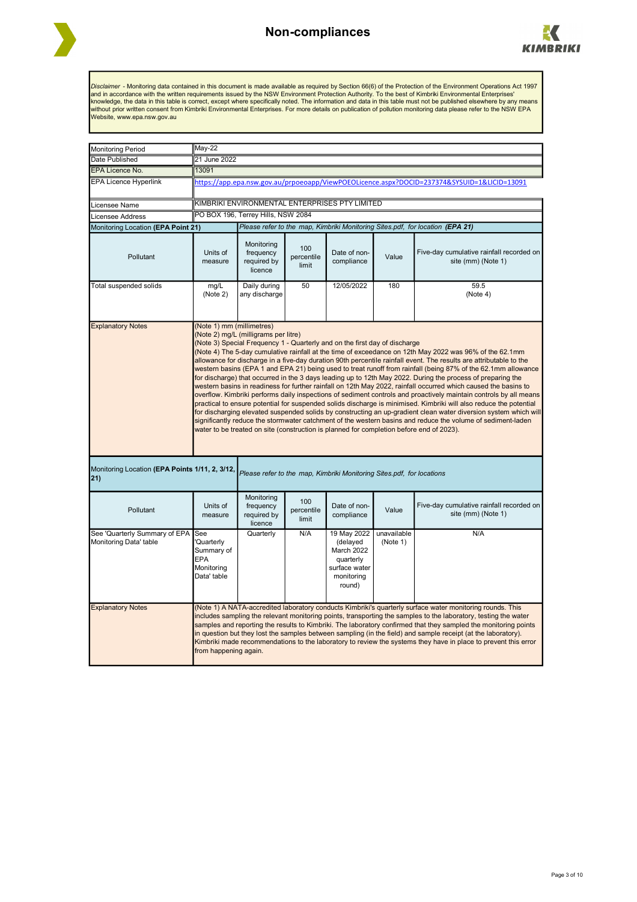



Disclaimer - Monitoring data contained in this document is made available as required by Section 66(6) of the Protection of the Environment Operations Act 1997<br>and in accordance with the written requirements issued by the

| <b>Monitoring Period</b>                                       | May-22                                                                                                                                                                                                                                                                                                                                                                                                                                                                                                                                                                                                                                                                                                                                                                                                                                                                                                                                                                                                                                                                                                                                                                                                                                                                                                                                    |                                                   |                            |                                                                                             |                         |                                                                                                                                                                                                                                                                                                                                                                                                                                                                                                                                                                                    |  |  |
|----------------------------------------------------------------|-------------------------------------------------------------------------------------------------------------------------------------------------------------------------------------------------------------------------------------------------------------------------------------------------------------------------------------------------------------------------------------------------------------------------------------------------------------------------------------------------------------------------------------------------------------------------------------------------------------------------------------------------------------------------------------------------------------------------------------------------------------------------------------------------------------------------------------------------------------------------------------------------------------------------------------------------------------------------------------------------------------------------------------------------------------------------------------------------------------------------------------------------------------------------------------------------------------------------------------------------------------------------------------------------------------------------------------------|---------------------------------------------------|----------------------------|---------------------------------------------------------------------------------------------|-------------------------|------------------------------------------------------------------------------------------------------------------------------------------------------------------------------------------------------------------------------------------------------------------------------------------------------------------------------------------------------------------------------------------------------------------------------------------------------------------------------------------------------------------------------------------------------------------------------------|--|--|
| Date Published                                                 | 21 June 2022                                                                                                                                                                                                                                                                                                                                                                                                                                                                                                                                                                                                                                                                                                                                                                                                                                                                                                                                                                                                                                                                                                                                                                                                                                                                                                                              |                                                   |                            |                                                                                             |                         |                                                                                                                                                                                                                                                                                                                                                                                                                                                                                                                                                                                    |  |  |
| <b>EPA Licence No.</b>                                         | 13091                                                                                                                                                                                                                                                                                                                                                                                                                                                                                                                                                                                                                                                                                                                                                                                                                                                                                                                                                                                                                                                                                                                                                                                                                                                                                                                                     |                                                   |                            |                                                                                             |                         |                                                                                                                                                                                                                                                                                                                                                                                                                                                                                                                                                                                    |  |  |
| <b>EPA Licence Hyperlink</b>                                   |                                                                                                                                                                                                                                                                                                                                                                                                                                                                                                                                                                                                                                                                                                                                                                                                                                                                                                                                                                                                                                                                                                                                                                                                                                                                                                                                           |                                                   |                            |                                                                                             |                         | https://app.epa.nsw.gov.au/prpoeoapp/ViewPOEOLicence.aspx?DOCID=237374&SYSUID=1&LICID=13091                                                                                                                                                                                                                                                                                                                                                                                                                                                                                        |  |  |
| Licensee Name                                                  |                                                                                                                                                                                                                                                                                                                                                                                                                                                                                                                                                                                                                                                                                                                                                                                                                                                                                                                                                                                                                                                                                                                                                                                                                                                                                                                                           |                                                   |                            | KIMBRIKI ENVIRONMENTAL ENTERPRISES PTY LIMITED                                              |                         |                                                                                                                                                                                                                                                                                                                                                                                                                                                                                                                                                                                    |  |  |
| Licensee Address                                               |                                                                                                                                                                                                                                                                                                                                                                                                                                                                                                                                                                                                                                                                                                                                                                                                                                                                                                                                                                                                                                                                                                                                                                                                                                                                                                                                           | PO BOX 196, Terrey Hills, NSW 2084                |                            |                                                                                             |                         |                                                                                                                                                                                                                                                                                                                                                                                                                                                                                                                                                                                    |  |  |
| Monitoring Location (EPA Point 21)                             |                                                                                                                                                                                                                                                                                                                                                                                                                                                                                                                                                                                                                                                                                                                                                                                                                                                                                                                                                                                                                                                                                                                                                                                                                                                                                                                                           |                                                   |                            |                                                                                             |                         | Please refer to the map, Kimbriki Monitoring Sites.pdf, for location (EPA 21)                                                                                                                                                                                                                                                                                                                                                                                                                                                                                                      |  |  |
| Pollutant                                                      | Units of<br>measure                                                                                                                                                                                                                                                                                                                                                                                                                                                                                                                                                                                                                                                                                                                                                                                                                                                                                                                                                                                                                                                                                                                                                                                                                                                                                                                       | Monitoring<br>frequency<br>required by<br>licence | 100<br>percentile<br>limit | Date of non-<br>compliance                                                                  | Value                   | Five-day cumulative rainfall recorded on<br>site (mm) (Note 1)                                                                                                                                                                                                                                                                                                                                                                                                                                                                                                                     |  |  |
| Total suspended solids                                         | mg/L<br>(Note 2)                                                                                                                                                                                                                                                                                                                                                                                                                                                                                                                                                                                                                                                                                                                                                                                                                                                                                                                                                                                                                                                                                                                                                                                                                                                                                                                          | Daily during<br>any discharge                     | 50                         | 12/05/2022                                                                                  | 180                     | 59.5<br>(Note 4)                                                                                                                                                                                                                                                                                                                                                                                                                                                                                                                                                                   |  |  |
|                                                                | <b>Explanatory Notes</b><br>(Note 1) mm (millimetres)<br>(Note 2) mg/L (milligrams per litre)<br>(Note 3) Special Frequency 1 - Quarterly and on the first day of discharge<br>(Note 4) The 5-day cumulative rainfall at the time of exceedance on 12th May 2022 was 96% of the 62.1mm<br>allowance for discharge in a five-day duration 90th percentile rainfall event. The results are attributable to the<br>western basins (EPA 1 and EPA 21) being used to treat runoff from rainfall (being 87% of the 62.1mm allowance<br>for discharge) that occurred in the 3 days leading up to 12th May 2022. During the process of preparing the<br>western basins in readiness for further rainfall on 12th May 2022, rainfall occurred which caused the basins to<br>overflow. Kimbriki performs daily inspections of sediment controls and proactively maintain controls by all means<br>practical to ensure potential for suspended solids discharge is minimised. Kimbriki will also reduce the potential<br>for discharging elevated suspended solids by constructing an up-gradient clean water diversion system which will<br>significantly reduce the stormwater catchment of the western basins and reduce the volume of sediment-laden<br>water to be treated on site (construction is planned for completion before end of 2023). |                                                   |                            |                                                                                             |                         |                                                                                                                                                                                                                                                                                                                                                                                                                                                                                                                                                                                    |  |  |
| Monitoring Location (EPA Points 1/11, 2, 3/12,<br>$ 21\rangle$ |                                                                                                                                                                                                                                                                                                                                                                                                                                                                                                                                                                                                                                                                                                                                                                                                                                                                                                                                                                                                                                                                                                                                                                                                                                                                                                                                           |                                                   |                            | Please refer to the map, Kimbriki Monitoring Sites.pdf, for locations                       |                         |                                                                                                                                                                                                                                                                                                                                                                                                                                                                                                                                                                                    |  |  |
| Pollutant                                                      | Units of<br>measure                                                                                                                                                                                                                                                                                                                                                                                                                                                                                                                                                                                                                                                                                                                                                                                                                                                                                                                                                                                                                                                                                                                                                                                                                                                                                                                       | Monitoring<br>frequency<br>required by<br>licence | 100<br>percentile<br>limit | Date of non-<br>compliance                                                                  | Value                   | Five-day cumulative rainfall recorded on<br>site (mm) (Note 1)                                                                                                                                                                                                                                                                                                                                                                                                                                                                                                                     |  |  |
| See 'Quarterly Summary of EPA<br>Monitoring Data' table        | See<br>Quarterly<br>Summary of<br>EPA<br>Monitoring<br>Data' table                                                                                                                                                                                                                                                                                                                                                                                                                                                                                                                                                                                                                                                                                                                                                                                                                                                                                                                                                                                                                                                                                                                                                                                                                                                                        | Quarterly                                         | N/A                        | 19 May 2022<br>(delayed<br>March 2022<br>quarterly<br>surface water<br>monitoring<br>round) | unavailable<br>(Note 1) | N/A                                                                                                                                                                                                                                                                                                                                                                                                                                                                                                                                                                                |  |  |
| <b>Explanatory Notes</b>                                       | from happening again.                                                                                                                                                                                                                                                                                                                                                                                                                                                                                                                                                                                                                                                                                                                                                                                                                                                                                                                                                                                                                                                                                                                                                                                                                                                                                                                     |                                                   |                            |                                                                                             |                         | (Note 1) A NATA-accredited laboratory conducts Kimbriki's quarterly surface water monitoring rounds. This<br>includes sampling the relevant monitoring points, transporting the samples to the laboratory, testing the water<br>samples and reporting the results to Kimbriki. The laboratory confirmed that they sampled the monitoring points<br>in question but they lost the samples between sampling (in the field) and sample receipt (at the laboratory).<br>Kimbriki made recommendations to the laboratory to review the systems they have in place to prevent this error |  |  |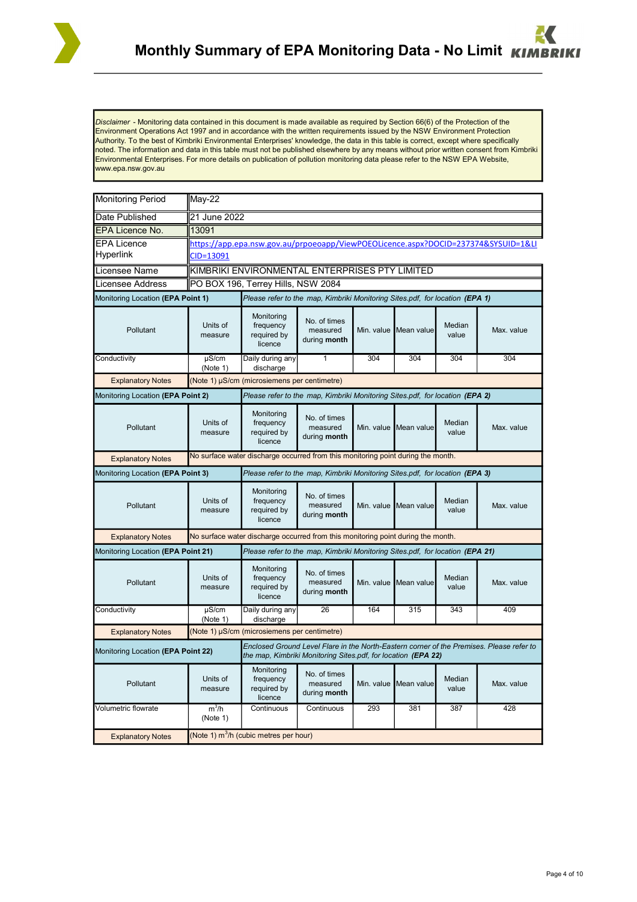

*Disclaimer* - Monitoring data contained in this document is made available as required by Section 66(6) of the Protection of the Environment Operations Act 1997 and in accordance with the written requirements issued by the NSW Environment Protection Authority. To the best of Kimbriki Environmental Enterprises' knowledge, the data in this table is correct, except where specifically noted. The information and data in this table must not be published elsewhere by any means without prior written consent from Kimbriki Environmental Enterprises. For more details on publication of pollution monitoring data please refer to the NSW EPA Website, www.epa.nsw.gov.au

| <b>Monitoring Period</b>           | $May-22$                                                                         |                                                                                  |                                                                               |            |                       |                 |                                                                                          |  |
|------------------------------------|----------------------------------------------------------------------------------|----------------------------------------------------------------------------------|-------------------------------------------------------------------------------|------------|-----------------------|-----------------|------------------------------------------------------------------------------------------|--|
| Date Published                     | 21 June 2022                                                                     |                                                                                  |                                                                               |            |                       |                 |                                                                                          |  |
| EPA Licence No.                    | 13091                                                                            |                                                                                  |                                                                               |            |                       |                 |                                                                                          |  |
| <b>EPA Licence</b><br>Hyperlink    | CID=13091                                                                        |                                                                                  |                                                                               |            |                       |                 | https://app.epa.nsw.gov.au/prpoeoapp/ViewPOEOLicence.aspx?DOCID=237374&SYSUID=1&LI       |  |
| Licensee Name                      |                                                                                  | KIMBRIKI ENVIRONMENTAL ENTERPRISES PTY LIMITED                                   |                                                                               |            |                       |                 |                                                                                          |  |
| Licensee Address                   | PO BOX 196, Terrey Hills, NSW 2084                                               |                                                                                  |                                                                               |            |                       |                 |                                                                                          |  |
| Monitoring Location (EPA Point 1)  |                                                                                  |                                                                                  | Please refer to the map, Kimbriki Monitoring Sites.pdf, for location (EPA 1)  |            |                       |                 |                                                                                          |  |
| Pollutant                          | Units of<br>measure                                                              | Monitoring<br>frequency<br>required by<br>licence                                | No. of times<br>measured<br>during month                                      |            | Min. value Mean value | Median<br>value | Max. value                                                                               |  |
| Conductivity                       | $\mu$ S/cm<br>(Note 1)                                                           | Daily during any<br>discharge                                                    | 1                                                                             | 304        | 304                   | 304             | 304                                                                                      |  |
| <b>Explanatory Notes</b>           |                                                                                  | (Note 1) µS/cm (microsiemens per centimetre)                                     |                                                                               |            |                       |                 |                                                                                          |  |
| Monitoring Location (EPA Point 2)  |                                                                                  |                                                                                  | Please refer to the map, Kimbriki Monitoring Sites.pdf, for location (EPA 2)  |            |                       |                 |                                                                                          |  |
| Pollutant                          | Units of<br>measure                                                              | Monitoring<br>frequency<br>required by<br>licence                                | No. of times<br>measured<br>during month                                      | Min. value | Mean value            | Median<br>value | Max. value                                                                               |  |
| <b>Explanatory Notes</b>           | No surface water discharge occurred from this monitoring point during the month. |                                                                                  |                                                                               |            |                       |                 |                                                                                          |  |
| Monitoring Location (EPA Point 3)  | Please refer to the map, Kimbriki Monitoring Sites.pdf, for location (EPA 3)     |                                                                                  |                                                                               |            |                       |                 |                                                                                          |  |
| Pollutant                          | Units of<br>measure                                                              | Monitoring<br>frequency<br>required by<br>licence                                | No. of times<br>measured<br>during month                                      |            | Min. value Mean value | Median<br>value | Max. value                                                                               |  |
| <b>Explanatory Notes</b>           |                                                                                  | No surface water discharge occurred from this monitoring point during the month. |                                                                               |            |                       |                 |                                                                                          |  |
| Monitoring Location (EPA Point 21) |                                                                                  |                                                                                  | Please refer to the map, Kimbriki Monitoring Sites.pdf, for location (EPA 21) |            |                       |                 |                                                                                          |  |
| Pollutant                          | Units of<br>measure                                                              | Monitoring<br>frequency<br>required by<br>licence                                | No. of times<br>measured<br>during month                                      |            | Min. value Mean value | Median<br>value | Max. value                                                                               |  |
| Conductivity                       | $\mu$ S/cm<br>(Note 1)                                                           | Daily during any<br>discharge                                                    | $\overline{26}$                                                               | 164        | $\overline{315}$      | 343             | 409                                                                                      |  |
| <b>Explanatory Notes</b>           |                                                                                  | (Note 1) µS/cm (microsiemens per centimetre)                                     |                                                                               |            |                       |                 |                                                                                          |  |
| Monitoring Location (EPA Point 22) |                                                                                  |                                                                                  | the map, Kimbriki Monitoring Sites.pdf, for location (EPA 22)                 |            |                       |                 | Enclosed Ground Level Flare in the North-Eastern corner of the Premises. Please refer to |  |
| Pollutant                          | Units of<br>measure                                                              | Monitoring<br>frequency<br>required by<br>licence                                | No. of times<br>measured<br>during month                                      | Min. value | Mean value            | Median<br>value | Max. value                                                                               |  |
| Volumetric flowrate                | $m^3/h$<br>(Note 1)                                                              | Continuous                                                                       | Continuous                                                                    | 293        | 381                   | 387             | 428                                                                                      |  |
| <b>Explanatory Notes</b>           | (Note 1) m <sup>3</sup> /h (cubic metres per hour)                               |                                                                                  |                                                                               |            |                       |                 |                                                                                          |  |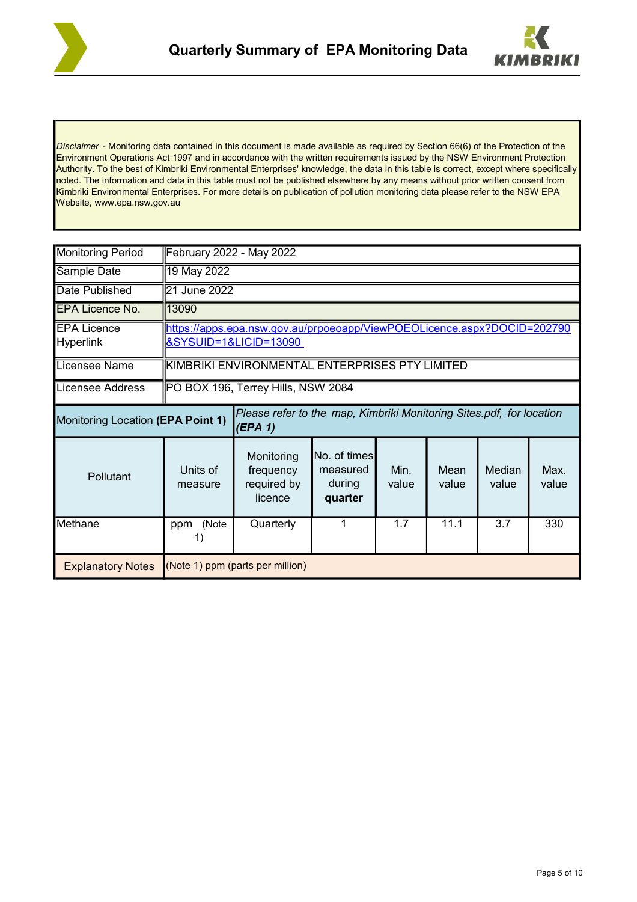



*Disclaimer* - Monitoring data contained in this document is made available as required by Section 66(6) of the Protection of the Environment Operations Act 1997 and in accordance with the written requirements issued by the NSW Environment Protection Authority. To the best of Kimbriki Environmental Enterprises' knowledge, the data in this table is correct, except where specifically noted. The information and data in this table must not be published elsewhere by any means without prior written consent from Kimbriki Environmental Enterprises. For more details on publication of pollution monitoring data please refer to the NSW EPA Website, www.epa.nsw.gov.au

| <b>Monitoring Period</b>               | February 2022 - May 2022                                                                         |                                                                                 |                                               |               |               |                 |               |  |  |
|----------------------------------------|--------------------------------------------------------------------------------------------------|---------------------------------------------------------------------------------|-----------------------------------------------|---------------|---------------|-----------------|---------------|--|--|
| Sample Date                            | 19 May 2022                                                                                      |                                                                                 |                                               |               |               |                 |               |  |  |
| Date Published                         | 21 June 2022                                                                                     |                                                                                 |                                               |               |               |                 |               |  |  |
| <b>IEPA Licence No.</b>                | 13090                                                                                            |                                                                                 |                                               |               |               |                 |               |  |  |
| <b>EPA Licence</b><br><b>Hyperlink</b> | https://apps.epa.nsw.gov.au/prpoeoapp/ViewPOEOLicence.aspx?DOCID=202790<br>&SYSUID=1&LICID=13090 |                                                                                 |                                               |               |               |                 |               |  |  |
| Licensee Name                          | KIMBRIKI ENVIRONMENTAL ENTERPRISES PTY LIMITED                                                   |                                                                                 |                                               |               |               |                 |               |  |  |
| Licensee Address                       | PO BOX 196, Terrey Hills, NSW 2084                                                               |                                                                                 |                                               |               |               |                 |               |  |  |
| Monitoring Location (EPA Point 1)      |                                                                                                  | Please refer to the map, Kimbriki Monitoring Sites.pdf, for location<br>(EPA 1) |                                               |               |               |                 |               |  |  |
| Pollutant                              | Units of<br>measure                                                                              | Monitoring<br>frequency<br>required by<br>licence                               | No. of times<br>measured<br>during<br>quarter | Min.<br>value | Mean<br>value | Median<br>value | Max.<br>value |  |  |
| Methane                                | (Note<br>ppm                                                                                     | Quarterly                                                                       |                                               | 1.7           | 11.1          | 3.7             | 330           |  |  |
| <b>Explanatory Notes</b>               | (Note 1) ppm (parts per million)                                                                 |                                                                                 |                                               |               |               |                 |               |  |  |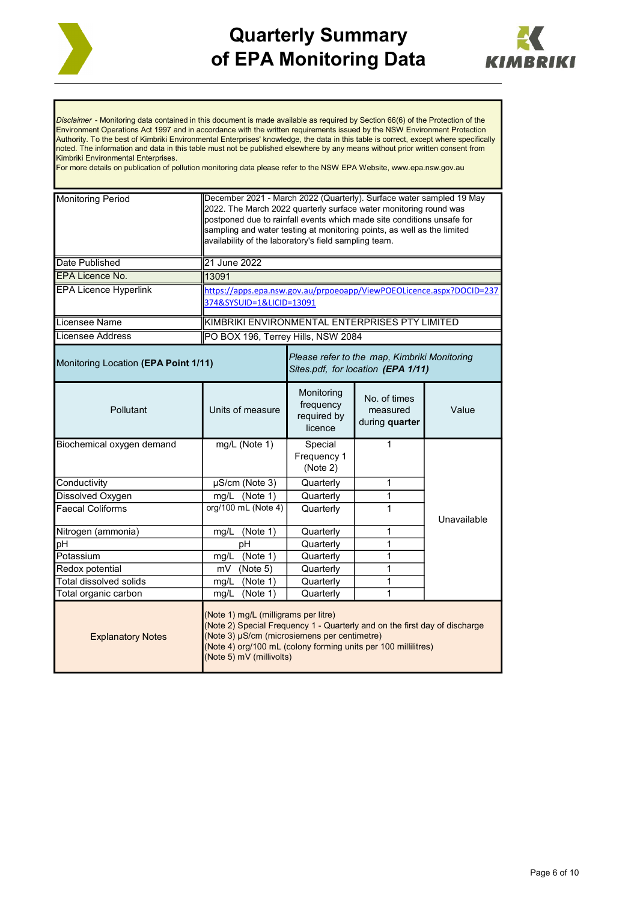



*Disclaimer* - Monitoring data contained in this document is made available as required by Section 66(6) of the Protection of the Environment Operations Act 1997 and in accordance with the written requirements issued by the NSW Environment Protection Authority. To the best of Kimbriki Environmental Enterprises' knowledge, the data in this table is correct, except where specifically noted. The information and data in this table must not be published elsewhere by any means without prior written consent from Kimbriki Environmental Enterprises.

For more details on publication of pollution monitoring data please refer to the NSW EPA Website, www.epa.nsw.gov.au

| <b>Monitoring Period</b>                                                                                                                                                                                                                                                                     | December 2021 - March 2022 (Quarterly). Surface water sampled 19 May<br>2022. The March 2022 quarterly surface water monitoring round was<br>postponed due to rainfall events which made site conditions unsafe for<br>sampling and water testing at monitoring points, as well as the limited<br>availability of the laboratory's field sampling team. |                                                   |                                            |             |  |  |  |
|----------------------------------------------------------------------------------------------------------------------------------------------------------------------------------------------------------------------------------------------------------------------------------------------|---------------------------------------------------------------------------------------------------------------------------------------------------------------------------------------------------------------------------------------------------------------------------------------------------------------------------------------------------------|---------------------------------------------------|--------------------------------------------|-------------|--|--|--|
| Date Published                                                                                                                                                                                                                                                                               | 21 June 2022                                                                                                                                                                                                                                                                                                                                            |                                                   |                                            |             |  |  |  |
| EPA Licence No.                                                                                                                                                                                                                                                                              | 13091                                                                                                                                                                                                                                                                                                                                                   |                                                   |                                            |             |  |  |  |
| <b>EPA Licence Hyperlink</b>                                                                                                                                                                                                                                                                 | https://apps.epa.nsw.gov.au/prpoeoapp/ViewPOEOLicence.aspx?DOCID=237<br>374&SYSUID=1&LICID=13091                                                                                                                                                                                                                                                        |                                                   |                                            |             |  |  |  |
| Licensee Name                                                                                                                                                                                                                                                                                | KIMBRIKI ENVIRONMENTAL ENTERPRISES PTY LIMITED                                                                                                                                                                                                                                                                                                          |                                                   |                                            |             |  |  |  |
| Licensee Address                                                                                                                                                                                                                                                                             | PO BOX 196, Terrey Hills, NSW 2084                                                                                                                                                                                                                                                                                                                      |                                                   |                                            |             |  |  |  |
| Please refer to the map, Kimbriki Monitoring<br>Monitoring Location (EPA Point 1/11)<br>Sites.pdf, for location (EPA 1/11)                                                                                                                                                                   |                                                                                                                                                                                                                                                                                                                                                         |                                                   |                                            |             |  |  |  |
| Pollutant                                                                                                                                                                                                                                                                                    | Units of measure                                                                                                                                                                                                                                                                                                                                        | Monitoring<br>frequency<br>required by<br>licence | No. of times<br>measured<br>during quarter | Value       |  |  |  |
| Biochemical oxygen demand                                                                                                                                                                                                                                                                    | mg/L (Note 1)                                                                                                                                                                                                                                                                                                                                           | Special<br>Frequency 1<br>(Note 2)                | 1                                          |             |  |  |  |
| Conductivity                                                                                                                                                                                                                                                                                 | $\mu$ S/cm (Note 3)                                                                                                                                                                                                                                                                                                                                     | Quarterly                                         | 1                                          |             |  |  |  |
| Dissolved Oxygen                                                                                                                                                                                                                                                                             | mg/L (Note 1)                                                                                                                                                                                                                                                                                                                                           | Quarterly                                         | 1                                          |             |  |  |  |
| <b>Faecal Coliforms</b>                                                                                                                                                                                                                                                                      | org/100 mL (Note 4)                                                                                                                                                                                                                                                                                                                                     | Quarterly                                         | 1                                          | Unavailable |  |  |  |
| Nitrogen (ammonia)                                                                                                                                                                                                                                                                           | mg/L<br>(Note 1)                                                                                                                                                                                                                                                                                                                                        | Quarterly                                         | 1                                          |             |  |  |  |
| рH                                                                                                                                                                                                                                                                                           | pH                                                                                                                                                                                                                                                                                                                                                      | Quarterly                                         | 1                                          |             |  |  |  |
| Potassium                                                                                                                                                                                                                                                                                    | mg/L (Note 1)                                                                                                                                                                                                                                                                                                                                           | Quarterly                                         | 1                                          |             |  |  |  |
| Redox potential                                                                                                                                                                                                                                                                              | (Note 5)<br>mV                                                                                                                                                                                                                                                                                                                                          | Quarterly                                         | 1                                          |             |  |  |  |
| Total dissolved solids                                                                                                                                                                                                                                                                       | mg/L (Note 1)                                                                                                                                                                                                                                                                                                                                           | Quarterly                                         | 1                                          |             |  |  |  |
| Total organic carbon                                                                                                                                                                                                                                                                         | (Note 1)<br>mg/L                                                                                                                                                                                                                                                                                                                                        | Quarterly                                         | 1                                          |             |  |  |  |
| (Note 1) mg/L (milligrams per litre)<br>(Note 2) Special Frequency 1 - Quarterly and on the first day of discharge<br>(Note 3) µS/cm (microsiemens per centimetre)<br><b>Explanatory Notes</b><br>(Note 4) org/100 mL (colony forming units per 100 millilitres)<br>(Note 5) mV (millivolts) |                                                                                                                                                                                                                                                                                                                                                         |                                                   |                                            |             |  |  |  |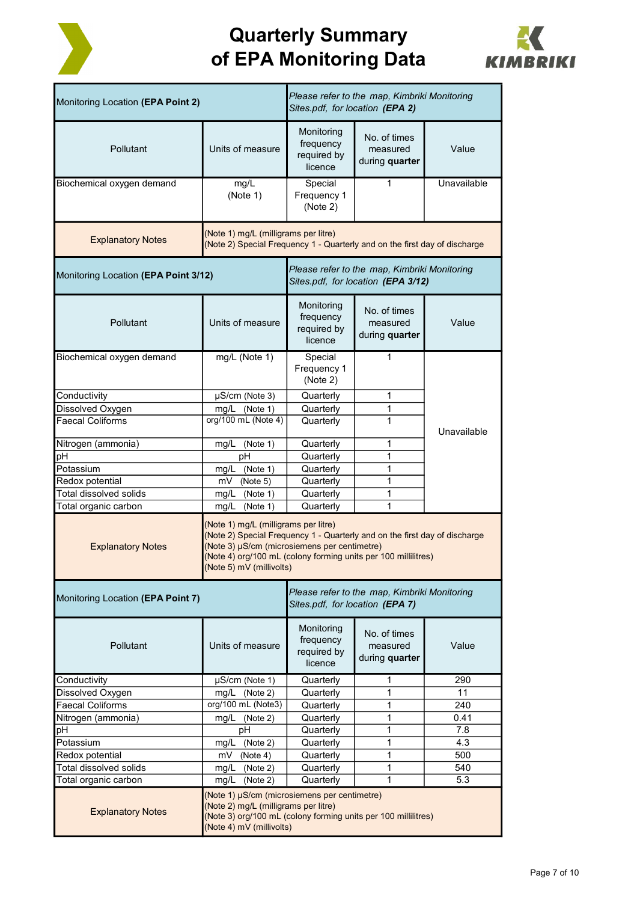



| Monitoring Location (EPA Point 2)                                                                                                              |                                                                                                                                                                                                                                                                  | Please refer to the map, Kimbriki Monitoring<br>Sites.pdf, for location (EPA 2) |                                            |             |  |  |  |
|------------------------------------------------------------------------------------------------------------------------------------------------|------------------------------------------------------------------------------------------------------------------------------------------------------------------------------------------------------------------------------------------------------------------|---------------------------------------------------------------------------------|--------------------------------------------|-------------|--|--|--|
| Pollutant                                                                                                                                      | Units of measure                                                                                                                                                                                                                                                 | Monitoring<br>frequency<br>required by<br>licence                               | No. of times<br>measured<br>during quarter | Value       |  |  |  |
| Biochemical oxygen demand                                                                                                                      | mg/L<br>(Note 1)                                                                                                                                                                                                                                                 | Special<br>Frequency 1<br>(Note 2)                                              | 1                                          | Unavailable |  |  |  |
| (Note 1) mg/L (milligrams per litre)<br><b>Explanatory Notes</b><br>(Note 2) Special Frequency 1 - Quarterly and on the first day of discharge |                                                                                                                                                                                                                                                                  |                                                                                 |                                            |             |  |  |  |
| Monitoring Location (EPA Point 3/12)                                                                                                           | Please refer to the map, Kimbriki Monitoring<br>Sites.pdf, for location (EPA 3/12)                                                                                                                                                                               |                                                                                 |                                            |             |  |  |  |
| Pollutant                                                                                                                                      | Units of measure                                                                                                                                                                                                                                                 | Monitoring<br>frequency<br>required by<br>licence                               | No. of times<br>measured<br>during quarter | Value       |  |  |  |
| Biochemical oxygen demand                                                                                                                      | mg/L (Note 1)                                                                                                                                                                                                                                                    | Special<br>Frequency 1<br>(Note 2)                                              | $\mathbf{1}$                               |             |  |  |  |
| Conductivity                                                                                                                                   | $\mu$ S/cm (Note 3)                                                                                                                                                                                                                                              | Quarterly                                                                       | 1                                          |             |  |  |  |
| Dissolved Oxygen                                                                                                                               | mg/L (Note 1)                                                                                                                                                                                                                                                    | Quarterly                                                                       | 1                                          |             |  |  |  |
| <b>Faecal Coliforms</b>                                                                                                                        | org/100 mL (Note 4)                                                                                                                                                                                                                                              | Quarterly                                                                       | 1                                          | Unavailable |  |  |  |
| Nitrogen (ammonia)                                                                                                                             | mg/L<br>(Note 1)                                                                                                                                                                                                                                                 | Quarterly                                                                       | 1                                          |             |  |  |  |
| pH                                                                                                                                             | pH                                                                                                                                                                                                                                                               | Quarterly                                                                       | 1                                          |             |  |  |  |
| Potassium                                                                                                                                      | mg/L<br>(Note 1)                                                                                                                                                                                                                                                 | Quarterly                                                                       | 1                                          |             |  |  |  |
| Redox potential                                                                                                                                | mV (Note 5)                                                                                                                                                                                                                                                      | Quarterly                                                                       | 1                                          |             |  |  |  |
| Total dissolved solids                                                                                                                         | mg/L<br>(Note 1)                                                                                                                                                                                                                                                 | Quarterly                                                                       | 1                                          |             |  |  |  |
| Total organic carbon                                                                                                                           | (Note 1)<br>mg/L                                                                                                                                                                                                                                                 | Quarterly                                                                       | 1                                          |             |  |  |  |
| <b>Explanatory Notes</b>                                                                                                                       | (Note 1) mg/L (milligrams per litre)<br>(Note 2) Special Frequency 1 - Quarterly and on the first day of discharge<br>(Note 3) µS/cm (microsiemens per centimetre)<br>(Note 4) org/100 mL (colony forming units per 100 millilitres)<br>(Note 5) mV (millivolts) |                                                                                 |                                            |             |  |  |  |
| Monitoring Location (EPA Point 7)                                                                                                              |                                                                                                                                                                                                                                                                  | Please refer to the map, Kimbriki Monitoring<br>Sites.pdf, for location (EPA 7) |                                            |             |  |  |  |
| Pollutant                                                                                                                                      | Units of measure                                                                                                                                                                                                                                                 | Monitoring<br>frequency<br>required by<br>licence                               | No. of times<br>measured<br>during quarter | Value       |  |  |  |
| Conductivity                                                                                                                                   | µS/cm (Note 1)                                                                                                                                                                                                                                                   | Quarterly                                                                       | 1                                          | 290         |  |  |  |
| Dissolved Oxygen                                                                                                                               | (Note 2)<br>mg/L                                                                                                                                                                                                                                                 | Quarterly                                                                       | 1                                          | 11          |  |  |  |
| <b>Faecal Coliforms</b>                                                                                                                        | org/100 mL (Note3)                                                                                                                                                                                                                                               | Quarterly                                                                       | 1                                          | 240         |  |  |  |
| Nitrogen (ammonia)<br>рH                                                                                                                       | mg/L (Note 2)<br>pH                                                                                                                                                                                                                                              | Quarterly<br>Quarterly                                                          | 1<br>1                                     | 0.41<br>7.8 |  |  |  |
| Potassium                                                                                                                                      | mg/L<br>(Note 2)                                                                                                                                                                                                                                                 | Quarterly                                                                       | 1                                          | 4.3         |  |  |  |
| Redox potential                                                                                                                                | mV<br>(Note 4)                                                                                                                                                                                                                                                   | Quarterly                                                                       | 1                                          | 500         |  |  |  |
| Total dissolved solids                                                                                                                         | (Note 2)<br>mg/L                                                                                                                                                                                                                                                 | Quarterly                                                                       | 1                                          | 540         |  |  |  |
| Total organic carbon                                                                                                                           | (Note 2)<br>mg/L                                                                                                                                                                                                                                                 | Quarterly                                                                       | $\mathbf{1}$                               | 5.3         |  |  |  |
| <b>Explanatory Notes</b>                                                                                                                       | (Note 1) µS/cm (microsiemens per centimetre)<br>(Note 2) mg/L (milligrams per litre)<br>(Note 3) org/100 mL (colony forming units per 100 millilitres)<br>(Note 4) mV (millivolts)                                                                               |                                                                                 |                                            |             |  |  |  |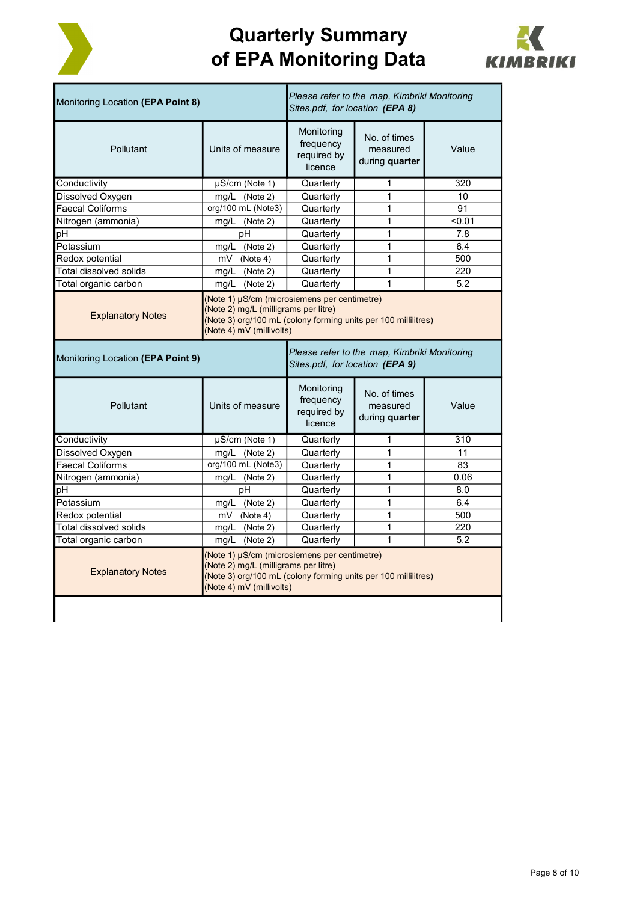



| Monitoring Location (EPA Point 8)                                                                                                                                                                              |                                                                                                                                                                                    | Sites.pdf, for location (EPA 8)                   | Please refer to the map, Kimbriki Monitoring |        |  |
|----------------------------------------------------------------------------------------------------------------------------------------------------------------------------------------------------------------|------------------------------------------------------------------------------------------------------------------------------------------------------------------------------------|---------------------------------------------------|----------------------------------------------|--------|--|
| Pollutant                                                                                                                                                                                                      | Units of measure                                                                                                                                                                   | Monitoring<br>frequency<br>required by<br>licence | No. of times<br>measured<br>during quarter   | Value  |  |
| Conductivity                                                                                                                                                                                                   | µS/cm (Note 1)                                                                                                                                                                     | Quarterly                                         | 1                                            | 320    |  |
| Dissolved Oxygen                                                                                                                                                                                               | mg/L (Note 2)                                                                                                                                                                      | Quarterly                                         | 1                                            | 10     |  |
| <b>Faecal Coliforms</b>                                                                                                                                                                                        | org/100 mL (Note3)                                                                                                                                                                 | Quarterly                                         | 1                                            | 91     |  |
| Nitrogen (ammonia)                                                                                                                                                                                             | mg/L (Note 2)                                                                                                                                                                      | Quarterly                                         | 1                                            | < 0.01 |  |
| pН                                                                                                                                                                                                             | pН                                                                                                                                                                                 | Quarterly                                         | 1                                            | 7.8    |  |
| Potassium                                                                                                                                                                                                      | mg/L (Note 2)                                                                                                                                                                      | Quarterly                                         | 1                                            | 6.4    |  |
| Redox potential                                                                                                                                                                                                | $mV$ (Note 4)                                                                                                                                                                      | Quarterly                                         | 1                                            | 500    |  |
| Total dissolved solids                                                                                                                                                                                         | mg/L (Note 2)                                                                                                                                                                      | Quarterly                                         | 1                                            | 220    |  |
| Total organic carbon                                                                                                                                                                                           | mg/L (Note 2)                                                                                                                                                                      | Quarterly                                         | $\mathbf{1}$                                 | 5.2    |  |
| (Note 1) µS/cm (microsiemens per centimetre)<br>(Note 2) mg/L (milligrams per litre)<br><b>Explanatory Notes</b><br>(Note 3) org/100 mL (colony forming units per 100 millilitres)<br>(Note 4) mV (millivolts) |                                                                                                                                                                                    |                                                   |                                              |        |  |
| Monitoring Location (EPA Point 9)                                                                                                                                                                              | Please refer to the map, Kimbriki Monitoring<br>Sites.pdf, for location (EPA 9)                                                                                                    |                                                   |                                              |        |  |
| Pollutant                                                                                                                                                                                                      | Units of measure                                                                                                                                                                   | Monitoring<br>frequency<br>required by            | No. of times<br>measured                     | Value  |  |
|                                                                                                                                                                                                                |                                                                                                                                                                                    | licence                                           | during quarter                               |        |  |
| Conductivity                                                                                                                                                                                                   | $\mu$ S/cm (Note 1)                                                                                                                                                                | Quarterly                                         | 1                                            | 310    |  |
| Dissolved Oxygen                                                                                                                                                                                               | mg/L (Note 2)                                                                                                                                                                      | Quarterly                                         | 1                                            | 11     |  |
| <b>Faecal Coliforms</b>                                                                                                                                                                                        | org/100 mL (Note3)                                                                                                                                                                 | Quarterly                                         | 1                                            | 83     |  |
| Nitrogen (ammonia)                                                                                                                                                                                             | mg/L (Note 2)                                                                                                                                                                      | Quarterly                                         | $\mathbf{1}$                                 | 0.06   |  |
| pН                                                                                                                                                                                                             | pН                                                                                                                                                                                 | Quarterly                                         | 1                                            | 8.0    |  |
| Potassium                                                                                                                                                                                                      | mg/L (Note 2)                                                                                                                                                                      | Quarterly                                         | $\mathbf{1}$                                 | 6.4    |  |
| Redox potential                                                                                                                                                                                                | $\overline{\text{mV}}$ (Note 4)                                                                                                                                                    | Quarterly                                         | $\mathbf{1}$                                 | 500    |  |
| Total dissolved solids                                                                                                                                                                                         | mg/L (Note 2)                                                                                                                                                                      | Quarterly                                         | 1                                            | 220    |  |
| Total organic carbon                                                                                                                                                                                           | mg/L (Note 2)                                                                                                                                                                      | Quarterly                                         | $\mathbf{1}$                                 | 5.2    |  |
| <b>Explanatory Notes</b>                                                                                                                                                                                       | (Note 1) µS/cm (microsiemens per centimetre)<br>(Note 2) mg/L (milligrams per litre)<br>(Note 3) org/100 mL (colony forming units per 100 millilitres)<br>(Note 4) mV (millivolts) |                                                   |                                              |        |  |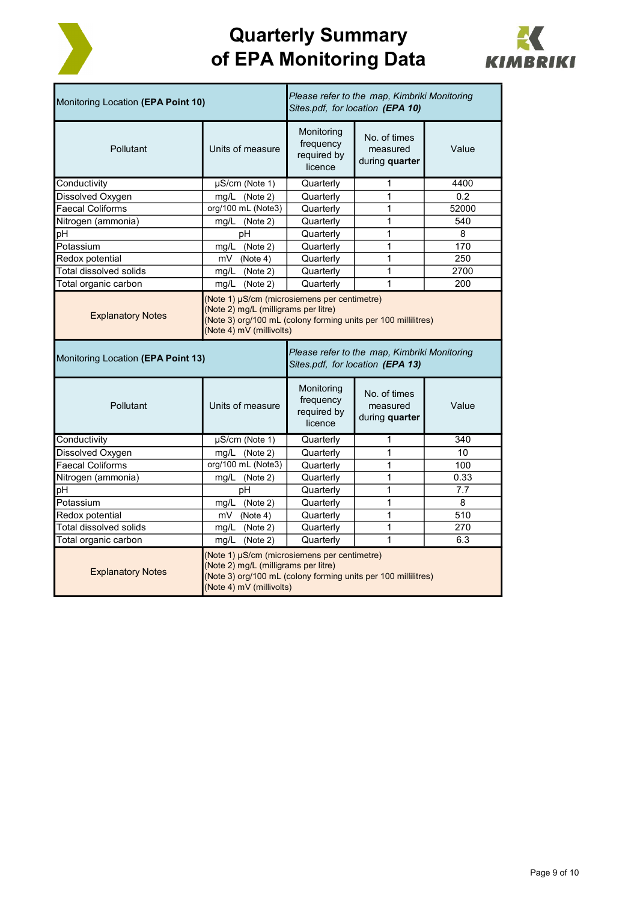



| Monitoring Location (EPA Point 10)                                                                                                                                                                             |                     | Please refer to the map, Kimbriki Monitoring<br>Sites.pdf, for location (EPA 10) |                                                                                  |       |  |
|----------------------------------------------------------------------------------------------------------------------------------------------------------------------------------------------------------------|---------------------|----------------------------------------------------------------------------------|----------------------------------------------------------------------------------|-------|--|
| Pollutant                                                                                                                                                                                                      | Units of measure    | Monitoring<br>frequency<br>required by<br>licence                                | No. of times<br>measured<br>during <b>quarter</b>                                | Value |  |
| Conductivity                                                                                                                                                                                                   | µS/cm (Note 1)      | Quarterly                                                                        | 1                                                                                | 4400  |  |
| Dissolved Oxygen                                                                                                                                                                                               | mg/L (Note 2)       | Quarterly                                                                        | 1                                                                                | 0.2   |  |
| <b>Faecal Coliforms</b>                                                                                                                                                                                        | org/100 mL (Note3)  | Quarterly                                                                        | 1                                                                                | 52000 |  |
| Nitrogen (ammonia)                                                                                                                                                                                             | mg/L (Note 2)       | Quarterly                                                                        | 1                                                                                | 540   |  |
| рH                                                                                                                                                                                                             | pH                  | Quarterly                                                                        | 1                                                                                | 8     |  |
| Potassium                                                                                                                                                                                                      | mg/L (Note 2)       | Quarterly                                                                        | 1                                                                                | 170   |  |
| Redox potential                                                                                                                                                                                                | (Note 4)<br>mV      | Quarterly                                                                        | 1                                                                                | 250   |  |
| <b>Total dissolved solids</b>                                                                                                                                                                                  | mg/L<br>(Note 2)    | Quarterly                                                                        | 1                                                                                | 2700  |  |
| Total organic carbon                                                                                                                                                                                           | mg/L<br>(Note 2)    | Quarterly                                                                        | 1                                                                                | 200   |  |
| (Note 1) µS/cm (microsiemens per centimetre)<br>(Note 2) mg/L (milligrams per litre)<br><b>Explanatory Notes</b><br>(Note 3) org/100 mL (colony forming units per 100 millilitres)<br>(Note 4) mV (millivolts) |                     |                                                                                  |                                                                                  |       |  |
| Monitoring Location (EPA Point 13)                                                                                                                                                                             |                     |                                                                                  |                                                                                  |       |  |
|                                                                                                                                                                                                                |                     |                                                                                  | Please refer to the map, Kimbriki Monitoring<br>Sites.pdf, for location (EPA 13) |       |  |
| Pollutant                                                                                                                                                                                                      | Units of measure    | Monitoring<br>frequency<br>required by<br>licence                                | No. of times<br>measured<br>during quarter                                       | Value |  |
| Conductivity                                                                                                                                                                                                   | $\mu$ S/cm (Note 1) | Quarterly                                                                        | 1                                                                                | 340   |  |
| Dissolved Oxygen                                                                                                                                                                                               | mg/L (Note 2)       | Quarterly                                                                        | 1                                                                                | 10    |  |
| <b>Faecal Coliforms</b>                                                                                                                                                                                        | org/100 mL (Note3)  | Quarterly                                                                        | 1                                                                                | 100   |  |
| Nitrogen (ammonia)                                                                                                                                                                                             | mg/L (Note 2)       | Quarterly                                                                        | 1                                                                                | 0.33  |  |
| pН                                                                                                                                                                                                             | pH                  | Quarterly                                                                        | 1                                                                                | 7.7   |  |
| Potassium                                                                                                                                                                                                      | (Note 2)<br>mg/L    | Quarterly                                                                        | 1                                                                                | 8     |  |
| Redox potential                                                                                                                                                                                                | mV<br>(Note 4)      | Quarterly                                                                        | 1                                                                                | 510   |  |
| Total dissolved solids                                                                                                                                                                                         | mg/L<br>(Note 2)    | Quarterly                                                                        | $\overline{1}$                                                                   | 270   |  |
| Total organic carbon                                                                                                                                                                                           | mg/L<br>(Note 2)    | Quarterly                                                                        | 1                                                                                | 6.3   |  |